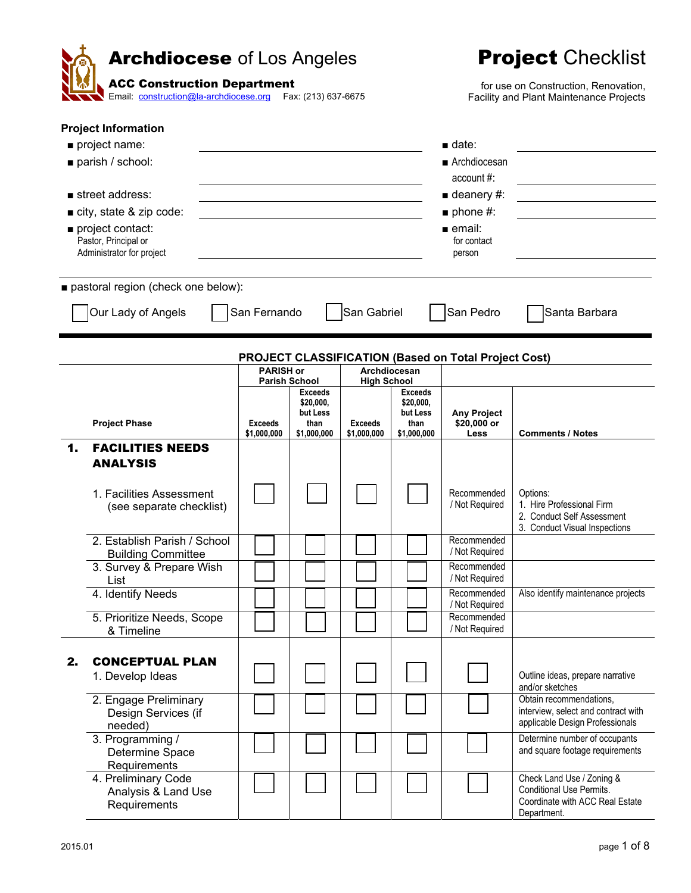|    | <b>Archdiocese</b> of Los Angeles<br><b>ACC Construction Department</b><br>Email: <b>construction@la-archdiocese.org</b> Fax: (213) 637-6675                                                          |                                    | <b>Project Checklist</b><br>for use on Construction, Renovation,<br>Facility and Plant Maintenance Projects |                                      |                                                                 |                                                                                                                                                     |                                                                                                                |
|----|-------------------------------------------------------------------------------------------------------------------------------------------------------------------------------------------------------|------------------------------------|-------------------------------------------------------------------------------------------------------------|--------------------------------------|-----------------------------------------------------------------|-----------------------------------------------------------------------------------------------------------------------------------------------------|----------------------------------------------------------------------------------------------------------------|
|    | <b>Project Information</b><br>project name:<br>parish / school:<br>$\blacksquare$ street address:<br>city, state & zip code:<br>project contact:<br>Pastor, Principal or<br>Administrator for project |                                    |                                                                                                             |                                      |                                                                 | $\blacksquare$ date:<br>■ Archdiocesan<br>account #:<br>$\blacksquare$ deanery #:<br>$\blacksquare$ phone #:<br>$=$ email:<br>for contact<br>person |                                                                                                                |
|    | pastoral region (check one below):<br>Our Lady of Angels                                                                                                                                              | San Fernando                       |                                                                                                             | San Gabriel                          |                                                                 | San Pedro                                                                                                                                           | Santa Barbara                                                                                                  |
|    | <b>Project Phase</b>                                                                                                                                                                                  | <b>PARISH or</b><br><b>Exceeds</b> | <b>Parish School</b><br><b>Exceeds</b><br>\$20,000,<br>but Less<br>than                                     | <b>High School</b><br><b>Exceeds</b> | Archdiocesan<br><b>Exceeds</b><br>\$20,000,<br>but Less<br>than | <b>PROJECT CLASSIFICATION (Based on Total Project Cost)</b><br><b>Any Project</b><br>\$20,000 or                                                    |                                                                                                                |
| 1. | <b>FACILITIES NEEDS</b><br><b>ANALYSIS</b>                                                                                                                                                            | \$1,000,000                        | \$1,000,000                                                                                                 | \$1,000,000                          | \$1,000,000                                                     | Less                                                                                                                                                | <b>Comments / Notes</b>                                                                                        |
|    | 1. Facilities Assessment<br>(see separate checklist)                                                                                                                                                  |                                    |                                                                                                             |                                      |                                                                 | Recommended<br>/ Not Required                                                                                                                       | Options:<br>1. Hire Professional Firm<br>2. Conduct Self Assessment<br>3. Conduct Visual Inspections           |
|    | 2. Establish Parish / School<br><b>Building Committee</b>                                                                                                                                             |                                    |                                                                                                             |                                      |                                                                 | Recommended<br>/ Not Required                                                                                                                       |                                                                                                                |
|    | 3. Survey & Prepare Wish<br>List                                                                                                                                                                      |                                    |                                                                                                             |                                      |                                                                 | Recommended<br>/ Not Required                                                                                                                       |                                                                                                                |
|    | 4. Identify Needs                                                                                                                                                                                     |                                    |                                                                                                             |                                      |                                                                 | Recommended<br>/ Not Required                                                                                                                       | Also identify maintenance projects                                                                             |
|    | 5. Prioritize Needs, Scope<br>& Timeline                                                                                                                                                              |                                    |                                                                                                             |                                      |                                                                 | Recommended<br>/ Not Required                                                                                                                       |                                                                                                                |
| 2. | <b>CONCEPTUAL PLAN</b><br>1. Develop Ideas                                                                                                                                                            |                                    |                                                                                                             |                                      |                                                                 |                                                                                                                                                     | Outline ideas, prepare narrative<br>and/or sketches                                                            |
|    | 2. Engage Preliminary<br>Design Services (if<br>needed)                                                                                                                                               |                                    |                                                                                                             |                                      |                                                                 |                                                                                                                                                     | Obtain recommendations,<br>interview, select and contract with<br>applicable Design Professionals              |
|    | 3. Programming /<br>Determine Space<br>Requirements                                                                                                                                                   |                                    |                                                                                                             |                                      |                                                                 |                                                                                                                                                     | Determine number of occupants<br>and square footage requirements                                               |
|    | 4. Preliminary Code<br>Analysis & Land Use<br>Requirements                                                                                                                                            |                                    |                                                                                                             |                                      |                                                                 |                                                                                                                                                     | Check Land Use / Zoning &<br><b>Conditional Use Permits.</b><br>Coordinate with ACC Real Estate<br>Department. |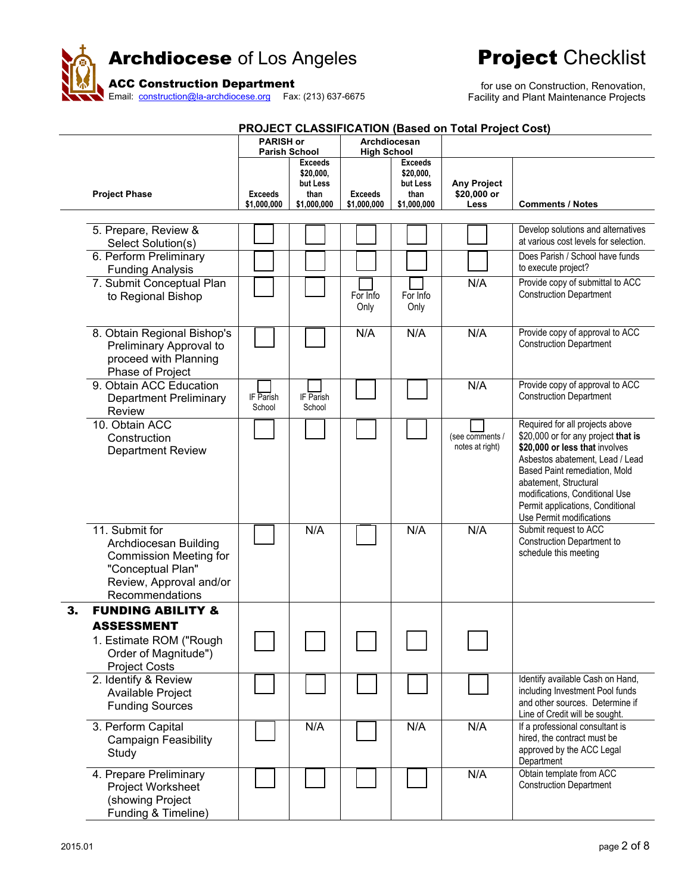

| PROJECT CLASSIFICATION (Based on Total Project Cost) |                                                                                                                                             |                               |                                                                |                                    |                                                                |                                           |                                                                                                                                                                                                                                                                                                         |  |  |  |  |
|------------------------------------------------------|---------------------------------------------------------------------------------------------------------------------------------------------|-------------------------------|----------------------------------------------------------------|------------------------------------|----------------------------------------------------------------|-------------------------------------------|---------------------------------------------------------------------------------------------------------------------------------------------------------------------------------------------------------------------------------------------------------------------------------------------------------|--|--|--|--|
|                                                      |                                                                                                                                             | <b>PARISH or</b>              | <b>Parish School</b>                                           | Archdiocesan<br><b>High School</b> |                                                                |                                           |                                                                                                                                                                                                                                                                                                         |  |  |  |  |
|                                                      | <b>Project Phase</b>                                                                                                                        | <b>Exceeds</b><br>\$1,000,000 | <b>Exceeds</b><br>\$20,000,<br>but Less<br>than<br>\$1,000,000 | <b>Exceeds</b><br>\$1,000,000      | <b>Exceeds</b><br>\$20,000,<br>but Less<br>than<br>\$1,000,000 | <b>Any Project</b><br>\$20,000 or<br>Less | <b>Comments / Notes</b>                                                                                                                                                                                                                                                                                 |  |  |  |  |
|                                                      | 5. Prepare, Review &<br>Select Solution(s)                                                                                                  |                               |                                                                |                                    |                                                                |                                           | Develop solutions and alternatives<br>at various cost levels for selection.                                                                                                                                                                                                                             |  |  |  |  |
|                                                      | 6. Perform Preliminary<br><b>Funding Analysis</b>                                                                                           |                               |                                                                |                                    |                                                                |                                           | Does Parish / School have funds<br>to execute project?                                                                                                                                                                                                                                                  |  |  |  |  |
|                                                      | 7. Submit Conceptual Plan<br>to Regional Bishop                                                                                             |                               |                                                                | For Info<br>Only                   | For Info<br>Only                                               | N/A                                       | Provide copy of submittal to ACC<br><b>Construction Department</b>                                                                                                                                                                                                                                      |  |  |  |  |
|                                                      | 8. Obtain Regional Bishop's<br>Preliminary Approval to<br>proceed with Planning<br>Phase of Project                                         |                               |                                                                | N/A                                | N/A                                                            | N/A                                       | Provide copy of approval to ACC<br><b>Construction Department</b>                                                                                                                                                                                                                                       |  |  |  |  |
|                                                      | 9. Obtain ACC Education<br><b>Department Preliminary</b><br>Review                                                                          | IF Parish<br>School           | IF Parish<br>School                                            |                                    |                                                                | N/A                                       | Provide copy of approval to ACC<br><b>Construction Department</b>                                                                                                                                                                                                                                       |  |  |  |  |
|                                                      | 10. Obtain ACC<br>Construction<br><b>Department Review</b>                                                                                  |                               |                                                                |                                    |                                                                | (see comments /<br>notes at right)        | Required for all projects above<br>\$20,000 or for any project that is<br>\$20,000 or less that involves<br>Asbestos abatement, Lead / Lead<br>Based Paint remediation, Mold<br>abatement, Structural<br>modifications, Conditional Use<br>Permit applications, Conditional<br>Use Permit modifications |  |  |  |  |
|                                                      | 11. Submit for<br>Archdiocesan Building<br><b>Commission Meeting for</b><br>"Conceptual Plan"<br>Review, Approval and/or<br>Recommendations |                               | N/A                                                            |                                    | N/A                                                            | N/A                                       | Submit request to ACC<br>Construction Department to<br>schedule this meeting                                                                                                                                                                                                                            |  |  |  |  |
| 3.                                                   | <b>FUNDING ABILITY &amp;</b>                                                                                                                |                               |                                                                |                                    |                                                                |                                           |                                                                                                                                                                                                                                                                                                         |  |  |  |  |
|                                                      | <b>ASSESSMENT</b><br>1. Estimate ROM ("Rough<br>Order of Magnitude")<br><b>Project Costs</b>                                                |                               |                                                                |                                    |                                                                |                                           |                                                                                                                                                                                                                                                                                                         |  |  |  |  |
|                                                      | 2. Identify & Review<br>Available Project<br><b>Funding Sources</b>                                                                         |                               |                                                                |                                    |                                                                |                                           | Identify available Cash on Hand,<br>including Investment Pool funds<br>and other sources. Determine if<br>Line of Credit will be sought.                                                                                                                                                                |  |  |  |  |
|                                                      | 3. Perform Capital<br><b>Campaign Feasibility</b><br>Study                                                                                  |                               | N/A                                                            |                                    | N/A                                                            | N/A                                       | If a professional consultant is<br>hired, the contract must be<br>approved by the ACC Legal<br>Department                                                                                                                                                                                               |  |  |  |  |
|                                                      | 4. Prepare Preliminary<br>Project Worksheet<br>(showing Project<br>Funding & Timeline)                                                      |                               |                                                                |                                    |                                                                | N/A                                       | Obtain template from ACC<br><b>Construction Department</b>                                                                                                                                                                                                                                              |  |  |  |  |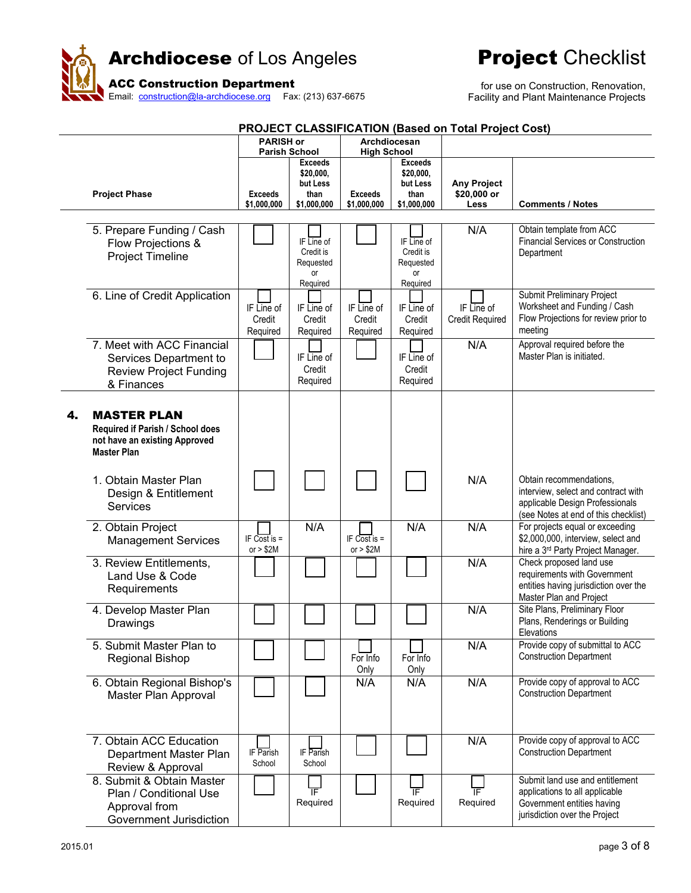

| <b>PROJECT CLASSIFICATION (Based on Total Project Cost)</b> |                                                                                                               |                                  |                                                                |                                    |                                                                |                                           |                                                                                                                                           |  |  |  |
|-------------------------------------------------------------|---------------------------------------------------------------------------------------------------------------|----------------------------------|----------------------------------------------------------------|------------------------------------|----------------------------------------------------------------|-------------------------------------------|-------------------------------------------------------------------------------------------------------------------------------------------|--|--|--|
|                                                             |                                                                                                               | <b>PARISH or</b>                 | <b>Parish School</b>                                           | Archdiocesan<br><b>High School</b> |                                                                |                                           |                                                                                                                                           |  |  |  |
|                                                             | <b>Project Phase</b>                                                                                          | <b>Exceeds</b><br>\$1,000,000    | <b>Exceeds</b><br>\$20,000,<br>but Less<br>than<br>\$1,000,000 | <b>Exceeds</b><br>\$1,000,000      | <b>Exceeds</b><br>\$20,000,<br>but Less<br>than<br>\$1,000,000 | <b>Any Project</b><br>\$20,000 or<br>Less | <b>Comments / Notes</b>                                                                                                                   |  |  |  |
|                                                             | 5. Prepare Funding / Cash<br>Flow Projections &<br><b>Project Timeline</b>                                    |                                  | IF Line of<br>Credit is<br>Requested<br><b>or</b><br>Required  |                                    | IF Line of<br>Credit is<br>Requested<br>or<br>Required         | N/A                                       | Obtain template from ACC<br><b>Financial Services or Construction</b><br>Department                                                       |  |  |  |
|                                                             | 6. Line of Credit Application                                                                                 | IF Line of<br>Credit<br>Required | IF Line of<br>Credit<br>Required                               | IF Line of<br>Credit<br>Required   | IF Line of<br>Credit<br>Required                               | IF Line of<br><b>Credit Required</b>      | Submit Preliminary Project<br>Worksheet and Funding / Cash<br>Flow Projections for review prior to<br>meeting                             |  |  |  |
|                                                             | 7. Meet with ACC Financial<br>Services Department to<br><b>Review Project Funding</b><br>& Finances           |                                  | IF Line of<br>Credit<br>Required                               |                                    | IF Line of<br>Credit<br>Required                               | N/A                                       | Approval required before the<br>Master Plan is initiated.                                                                                 |  |  |  |
| 4.                                                          | <b>MASTER PLAN</b><br>Required if Parish / School does<br>not have an existing Approved<br><b>Master Plan</b> |                                  |                                                                |                                    |                                                                |                                           |                                                                                                                                           |  |  |  |
|                                                             | 1. Obtain Master Plan<br>Design & Entitlement<br><b>Services</b>                                              |                                  |                                                                |                                    |                                                                | N/A                                       | Obtain recommendations,<br>interview, select and contract with<br>applicable Design Professionals<br>(see Notes at end of this checklist) |  |  |  |
|                                                             | 2. Obtain Project<br><b>Management Services</b>                                                               | IF Cost is $=$<br>or $> $2M$     | N/A                                                            | IF Cost is $=$<br>or $> $2M$       | N/A                                                            | N/A                                       | For projects equal or exceeding<br>\$2,000,000, interview, select and<br>hire a 3 <sup>rd</sup> Party Project Manager.                    |  |  |  |
|                                                             | 3. Review Entitlements,<br>Land Use & Code<br>Requirements                                                    |                                  |                                                                |                                    |                                                                | N/A                                       | Check proposed land use<br>requirements with Government<br>entities having jurisdiction over the<br>Master Plan and Project               |  |  |  |
|                                                             | 4. Develop Master Plan<br>Drawings                                                                            |                                  |                                                                |                                    |                                                                | N/A                                       | Site Plans, Preliminary Floor<br>Plans, Renderings or Building<br>Elevations                                                              |  |  |  |
|                                                             | 5. Submit Master Plan to<br><b>Regional Bishop</b>                                                            |                                  |                                                                | For Info<br>Only                   | For Info<br>Only                                               | N/A                                       | Provide copy of submittal to ACC<br><b>Construction Department</b>                                                                        |  |  |  |
|                                                             | 6. Obtain Regional Bishop's<br>Master Plan Approval                                                           |                                  |                                                                | N/A                                | N/A                                                            | N/A                                       | Provide copy of approval to ACC<br><b>Construction Department</b>                                                                         |  |  |  |
|                                                             | 7. Obtain ACC Education<br>Department Master Plan<br>Review & Approval                                        | IF Parish<br>School              | IF Parish<br>School                                            |                                    |                                                                | N/A                                       | Provide copy of approval to ACC<br><b>Construction Department</b>                                                                         |  |  |  |
|                                                             | 8. Submit & Obtain Master<br>Plan / Conditional Use<br>Approval from<br>Government Jurisdiction               |                                  | ℡<br>Required                                                  |                                    | ΤF<br>Required                                                 | ΤF<br>Required                            | Submit land use and entitlement<br>applications to all applicable<br>Government entities having<br>jurisdiction over the Project          |  |  |  |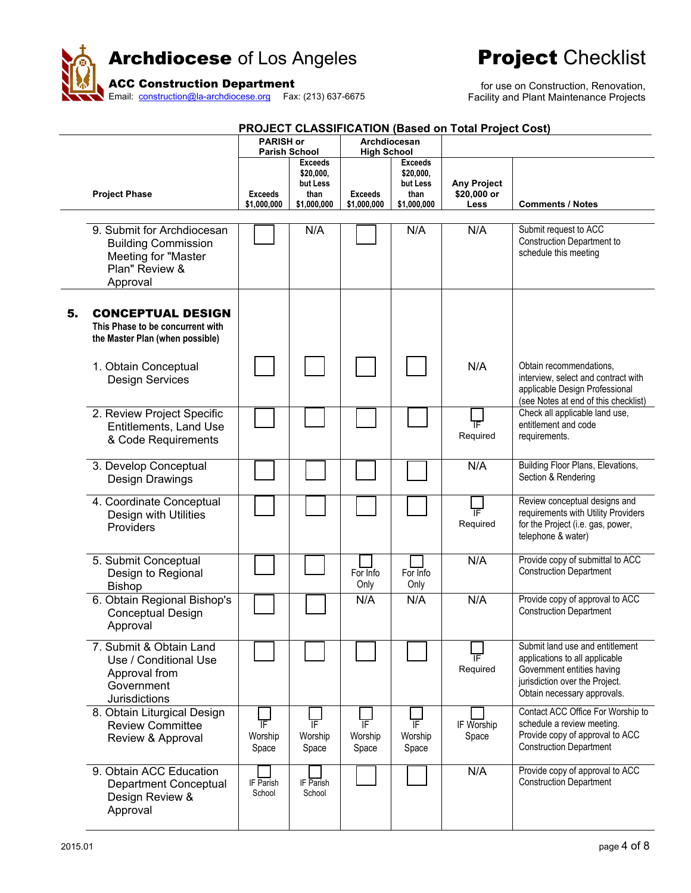



|    |                                                                                                                      |                                          |                                                                |                                                     |                                                                | <b>PROJECT CLASSIFICATION (Based on Total Project Cost)</b> |                                                                                                                                                                  |
|----|----------------------------------------------------------------------------------------------------------------------|------------------------------------------|----------------------------------------------------------------|-----------------------------------------------------|----------------------------------------------------------------|-------------------------------------------------------------|------------------------------------------------------------------------------------------------------------------------------------------------------------------|
|    |                                                                                                                      | <b>PARISH or</b><br><b>Parish School</b> |                                                                |                                                     | Archdiocesan                                                   |                                                             |                                                                                                                                                                  |
|    | <b>Project Phase</b>                                                                                                 |                                          | <b>Exceeds</b><br>\$20,000,<br>but Less<br>than<br>\$1,000,000 | <b>High School</b><br><b>Exceeds</b><br>\$1,000,000 | <b>Exceeds</b><br>\$20,000,<br>but Less<br>than<br>\$1,000,000 | <b>Any Project</b><br>\$20,000 or<br>Less                   | <b>Comments / Notes</b>                                                                                                                                          |
|    | 9. Submit for Archdiocesan<br><b>Building Commission</b><br><b>Meeting for "Master</b><br>Plan" Review &<br>Approval |                                          | N/A                                                            |                                                     | N/A                                                            | N/A                                                         | Submit request to ACC<br>Construction Department to<br>schedule this meeting                                                                                     |
| 5. | <b>CONCEPTUAL DESIGN</b><br>This Phase to be concurrent with<br>the Master Plan (when possible)                      |                                          |                                                                |                                                     |                                                                |                                                             |                                                                                                                                                                  |
|    | 1. Obtain Conceptual<br><b>Design Services</b>                                                                       |                                          |                                                                |                                                     |                                                                | N/A                                                         | Obtain recommendations.<br>interview, select and contract with<br>applicable Design Professional<br>(see Notes at end of this checklist)                         |
|    | 2. Review Project Specific<br><b>Entitlements, Land Use</b><br>& Code Requirements                                   |                                          |                                                                |                                                     |                                                                | $\overline{\mathbb{F}}$<br>Required                         | Check all applicable land use,<br>entitlement and code<br>requirements.                                                                                          |
|    | 3. Develop Conceptual<br>Design Drawings                                                                             |                                          |                                                                |                                                     |                                                                | N/A                                                         | <b>Building Floor Plans, Elevations,</b><br>Section & Rendering                                                                                                  |
|    | 4. Coordinate Conceptual<br>Design with Utilities<br>Providers                                                       |                                          |                                                                |                                                     |                                                                | ΤF<br>Required                                              | Review conceptual designs and<br>requirements with Utility Providers<br>for the Project (i.e. gas, power,<br>telephone & water)                                  |
|    | 5. Submit Conceptual<br>Design to Regional<br><b>Bishop</b>                                                          |                                          |                                                                | For Info<br>Only                                    | For Info<br>Only                                               | N/A                                                         | Provide copy of submittal to ACC<br><b>Construction Department</b>                                                                                               |
|    | 6. Obtain Regional Bishop's<br><b>Conceptual Design</b><br>Approval                                                  |                                          |                                                                | N/A                                                 | N/A                                                            | N/A                                                         | Provide copy of approval to ACC<br><b>Construction Department</b>                                                                                                |
|    | 7. Submit & Obtain Land<br>Use / Conditional Use<br>Approval from<br>Government<br>Jurisdictions                     |                                          |                                                                |                                                     |                                                                | ΤΕ<br>Required                                              | Submit land use and entitlement<br>applications to all applicable<br>Government entities having<br>jurisdiction over the Project.<br>Obtain necessary approvals. |
|    | 8. Obtain Liturgical Design<br><b>Review Committee</b><br>Review & Approval                                          | ΙF<br>Worship<br>Space                   | 下<br>Worship<br>Space                                          | ΤF<br>Worship<br>Space                              | IF<br>Worship<br>Space                                         | IF Worship<br>Space                                         | Contact ACC Office For Worship to<br>schedule a review meeting.<br>Provide copy of approval to ACC<br><b>Construction Department</b>                             |
|    | 9. Obtain ACC Education<br>Department Conceptual<br>Design Review &<br>Approval                                      | IF Parish<br>School                      | IF Parish<br>School                                            |                                                     |                                                                | N/A                                                         | Provide copy of approval to ACC<br><b>Construction Department</b>                                                                                                |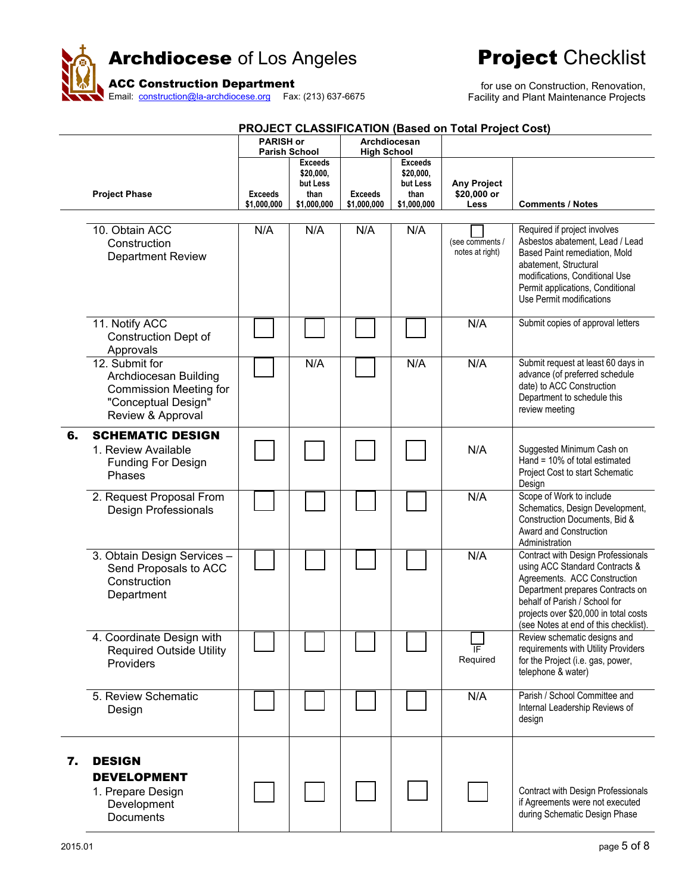



| <b>PROJECT CLASSIFICATION (Based on Total Project Cost)</b> |                                                                                                                      |                               |                                                                                        |                                                     |                                                                |                                           |                                                                                                                                                                                                                                                             |  |  |  |  |
|-------------------------------------------------------------|----------------------------------------------------------------------------------------------------------------------|-------------------------------|----------------------------------------------------------------------------------------|-----------------------------------------------------|----------------------------------------------------------------|-------------------------------------------|-------------------------------------------------------------------------------------------------------------------------------------------------------------------------------------------------------------------------------------------------------------|--|--|--|--|
|                                                             |                                                                                                                      | <b>PARISH or</b>              |                                                                                        | Archdiocesan                                        |                                                                |                                           |                                                                                                                                                                                                                                                             |  |  |  |  |
|                                                             | <b>Project Phase</b>                                                                                                 | <b>Exceeds</b><br>\$1,000,000 | <b>Parish School</b><br><b>Exceeds</b><br>\$20,000,<br>but Less<br>than<br>\$1,000,000 | <b>High School</b><br><b>Exceeds</b><br>\$1,000,000 | <b>Exceeds</b><br>\$20,000,<br>but Less<br>than<br>\$1,000,000 | <b>Any Project</b><br>\$20,000 or<br>Less | <b>Comments / Notes</b>                                                                                                                                                                                                                                     |  |  |  |  |
|                                                             | 10. Obtain ACC<br>Construction<br><b>Department Review</b>                                                           | N/A                           | N/A                                                                                    | N/A                                                 | N/A                                                            | (see comments /<br>notes at right)        | Required if project involves<br>Asbestos abatement, Lead / Lead<br>Based Paint remediation, Mold<br>abatement, Structural<br>modifications, Conditional Use<br>Permit applications, Conditional<br>Use Permit modifications                                 |  |  |  |  |
|                                                             | 11. Notify ACC<br><b>Construction Dept of</b><br>Approvals                                                           |                               |                                                                                        |                                                     |                                                                | N/A                                       | Submit copies of approval letters                                                                                                                                                                                                                           |  |  |  |  |
|                                                             | 12. Submit for<br>Archdiocesan Building<br><b>Commission Meeting for</b><br>"Conceptual Design"<br>Review & Approval |                               | N/A                                                                                    |                                                     | N/A                                                            | N/A                                       | Submit request at least 60 days in<br>advance (of preferred schedule<br>date) to ACC Construction<br>Department to schedule this<br>review meeting                                                                                                          |  |  |  |  |
| 6.                                                          | <b>SCHEMATIC DESIGN</b><br>1. Review Available<br><b>Funding For Design</b><br>Phases                                |                               |                                                                                        |                                                     |                                                                | N/A                                       | Suggested Minimum Cash on<br>Hand = 10% of total estimated<br>Project Cost to start Schematic<br>Design                                                                                                                                                     |  |  |  |  |
|                                                             | 2. Request Proposal From<br><b>Design Professionals</b>                                                              |                               |                                                                                        |                                                     |                                                                | N/A                                       | Scope of Work to include<br>Schematics, Design Development,<br>Construction Documents, Bid &<br>Award and Construction<br>Administration                                                                                                                    |  |  |  |  |
|                                                             | 3. Obtain Design Services -<br>Send Proposals to ACC<br>Construction<br>Department                                   |                               |                                                                                        |                                                     |                                                                | N/A                                       | Contract with Design Professionals<br>using ACC Standard Contracts &<br>Agreements. ACC Construction<br>Department prepares Contracts on<br>behalf of Parish / School for<br>projects over \$20,000 in total costs<br>(see Notes at end of this checklist). |  |  |  |  |
|                                                             | 4. Coordinate Design with<br><b>Required Outside Utility</b><br>Providers                                            |                               |                                                                                        |                                                     |                                                                | IF<br>Required                            | Review schematic designs and<br>requirements with Utility Providers<br>for the Project (i.e. gas, power,<br>telephone & water)                                                                                                                              |  |  |  |  |
|                                                             | 5. Review Schematic<br>Design                                                                                        |                               |                                                                                        |                                                     |                                                                | N/A                                       | Parish / School Committee and<br>Internal Leadership Reviews of<br>design                                                                                                                                                                                   |  |  |  |  |
| 7.                                                          | <b>DESIGN</b><br><b>DEVELOPMENT</b><br>1. Prepare Design<br>Development<br>Documents                                 |                               |                                                                                        |                                                     |                                                                |                                           | Contract with Design Professionals<br>if Agreements were not executed<br>during Schematic Design Phase                                                                                                                                                      |  |  |  |  |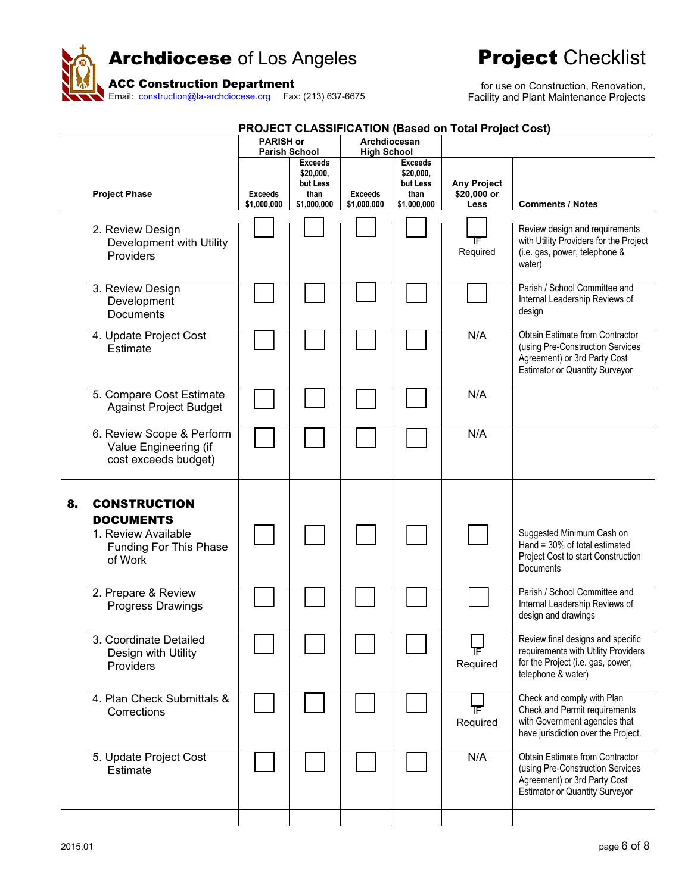

|    | <b>PROJECT CLASSIFICATION (Based on Total Project Cost)</b>                                         |                               |                                                                |                                    |                                                                |                                           |                                                                                                                                              |  |  |  |  |
|----|-----------------------------------------------------------------------------------------------------|-------------------------------|----------------------------------------------------------------|------------------------------------|----------------------------------------------------------------|-------------------------------------------|----------------------------------------------------------------------------------------------------------------------------------------------|--|--|--|--|
|    |                                                                                                     | <b>PARISH or</b>              | <b>Parish School</b>                                           | Archdiocesan<br><b>High School</b> |                                                                |                                           |                                                                                                                                              |  |  |  |  |
|    | <b>Project Phase</b>                                                                                | <b>Exceeds</b><br>\$1,000,000 | <b>Exceeds</b><br>\$20,000,<br>but Less<br>than<br>\$1,000,000 | <b>Exceeds</b><br>\$1,000,000      | <b>Exceeds</b><br>\$20,000,<br>but Less<br>than<br>\$1,000,000 | <b>Any Project</b><br>\$20,000 or<br>Less | <b>Comments / Notes</b>                                                                                                                      |  |  |  |  |
|    | 2. Review Design<br>Development with Utility<br>Providers                                           |                               |                                                                |                                    |                                                                | IF<br>Required                            | Review design and requirements<br>with Utility Providers for the Project<br>(i.e. gas, power, telephone &<br>water)                          |  |  |  |  |
|    | 3. Review Design<br>Development<br><b>Documents</b>                                                 |                               |                                                                |                                    |                                                                |                                           | Parish / School Committee and<br>Internal Leadership Reviews of<br>design                                                                    |  |  |  |  |
|    | 4. Update Project Cost<br>Estimate                                                                  |                               |                                                                |                                    |                                                                | N/A                                       | Obtain Estimate from Contractor<br>(using Pre-Construction Services<br>Agreement) or 3rd Party Cost<br><b>Estimator or Quantity Surveyor</b> |  |  |  |  |
|    | 5. Compare Cost Estimate<br><b>Against Project Budget</b>                                           |                               |                                                                |                                    |                                                                | N/A                                       |                                                                                                                                              |  |  |  |  |
|    | 6. Review Scope & Perform<br>Value Engineering (if<br>cost exceeds budget)                          |                               |                                                                |                                    |                                                                | N/A                                       |                                                                                                                                              |  |  |  |  |
| 8. | <b>CONSTRUCTION</b><br><b>DOCUMENTS</b><br>1. Review Available<br>Funding For This Phase<br>of Work |                               |                                                                |                                    |                                                                |                                           | Suggested Minimum Cash on<br>Hand = 30% of total estimated<br>Project Cost to start Construction<br>Documents                                |  |  |  |  |
|    | 2. Prepare & Review<br>Progress Drawings                                                            |                               |                                                                |                                    |                                                                |                                           | Parish / School Committee and<br>Internal Leadership Reviews of<br>design and drawings                                                       |  |  |  |  |
|    | 3. Coordinate Detailed<br>Design with Utility<br>Providers                                          |                               |                                                                |                                    |                                                                | Required                                  | Review final designs and specific<br>requirements with Utility Providers<br>for the Project (i.e. gas, power,<br>telephone & water)          |  |  |  |  |
|    | 4. Plan Check Submittals &<br>Corrections                                                           |                               |                                                                |                                    |                                                                | ΤF<br>Required                            | Check and comply with Plan<br>Check and Permit requirements<br>with Government agencies that<br>have jurisdiction over the Project.          |  |  |  |  |
|    | 5. Update Project Cost<br>Estimate                                                                  |                               |                                                                |                                    |                                                                | N/A                                       | Obtain Estimate from Contractor<br>(using Pre-Construction Services<br>Agreement) or 3rd Party Cost<br><b>Estimator or Quantity Surveyor</b> |  |  |  |  |
|    |                                                                                                     |                               |                                                                |                                    |                                                                |                                           |                                                                                                                                              |  |  |  |  |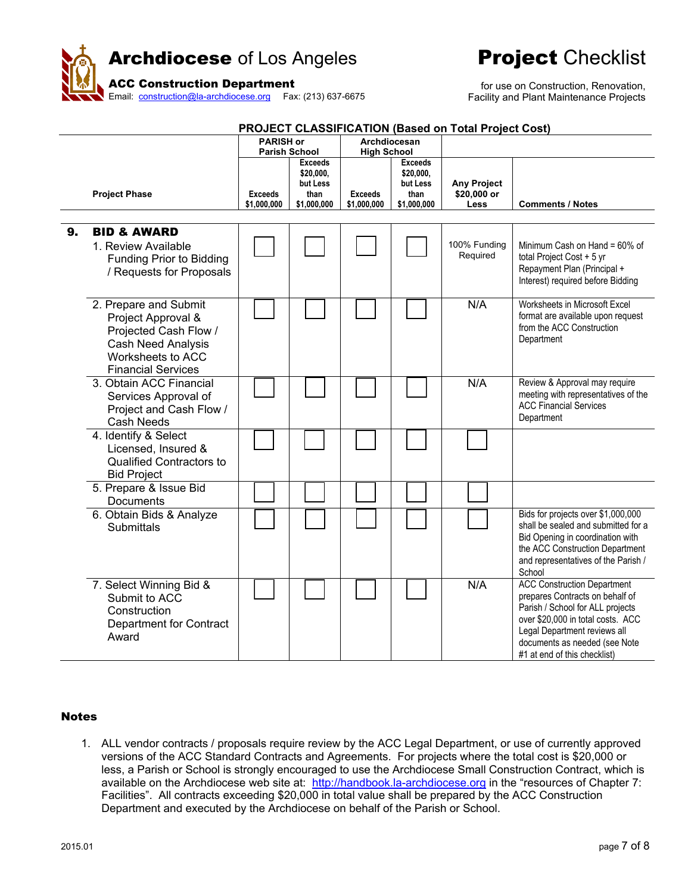

for use on Construction, Renovation, Facility and Plant Maintenance Projects

| <b>PROJECT CLASSIFICATION (Based on Total Project Cost)</b> |                                 |                  |                             |                    |                             |                    |                                     |  |  |  |
|-------------------------------------------------------------|---------------------------------|------------------|-----------------------------|--------------------|-----------------------------|--------------------|-------------------------------------|--|--|--|
|                                                             |                                 | <b>PARISH or</b> |                             |                    | Archdiocesan                |                    |                                     |  |  |  |
|                                                             |                                 |                  | <b>Parish School</b>        | <b>High School</b> |                             |                    |                                     |  |  |  |
|                                                             |                                 |                  | <b>Exceeds</b><br>\$20,000, |                    | <b>Exceeds</b><br>\$20,000, |                    |                                     |  |  |  |
|                                                             |                                 |                  | but Less                    |                    | but Less                    | <b>Any Project</b> |                                     |  |  |  |
|                                                             | <b>Project Phase</b>            | <b>Exceeds</b>   | than                        | <b>Exceeds</b>     | than                        | \$20,000 or        |                                     |  |  |  |
|                                                             |                                 | \$1,000,000      | \$1,000,000                 | \$1,000,000        | \$1.000.000                 | Less               | <b>Comments / Notes</b>             |  |  |  |
|                                                             |                                 |                  |                             |                    |                             |                    |                                     |  |  |  |
| 9.                                                          | <b>BID &amp; AWARD</b>          |                  |                             |                    |                             |                    |                                     |  |  |  |
|                                                             | 1. Review Available             |                  |                             |                    |                             | 100% Funding       | Minimum Cash on Hand = 60% of       |  |  |  |
|                                                             | Funding Prior to Bidding        |                  |                             |                    |                             | Required           | total Project Cost + 5 yr           |  |  |  |
|                                                             | / Requests for Proposals        |                  |                             |                    |                             |                    | Repayment Plan (Principal +         |  |  |  |
|                                                             |                                 |                  |                             |                    |                             |                    | Interest) required before Bidding   |  |  |  |
|                                                             |                                 |                  |                             |                    |                             |                    |                                     |  |  |  |
|                                                             | 2. Prepare and Submit           |                  |                             |                    |                             | N/A                | Worksheets in Microsoft Excel       |  |  |  |
|                                                             | Project Approval &              |                  |                             |                    |                             |                    | format are available upon request   |  |  |  |
|                                                             | Projected Cash Flow /           |                  |                             |                    |                             |                    | from the ACC Construction           |  |  |  |
|                                                             | <b>Cash Need Analysis</b>       |                  |                             |                    |                             |                    | Department                          |  |  |  |
|                                                             | Worksheets to ACC               |                  |                             |                    |                             |                    |                                     |  |  |  |
|                                                             | <b>Financial Services</b>       |                  |                             |                    |                             |                    |                                     |  |  |  |
|                                                             | 3. Obtain ACC Financial         |                  |                             |                    |                             | N/A                | Review & Approval may require       |  |  |  |
|                                                             | Services Approval of            |                  |                             |                    |                             |                    | meeting with representatives of the |  |  |  |
|                                                             | Project and Cash Flow /         |                  |                             |                    |                             |                    | <b>ACC Financial Services</b>       |  |  |  |
|                                                             | <b>Cash Needs</b>               |                  |                             |                    |                             |                    | Department                          |  |  |  |
|                                                             | 4. Identify & Select            |                  |                             |                    |                             |                    |                                     |  |  |  |
|                                                             | Licensed, Insured &             |                  |                             |                    |                             |                    |                                     |  |  |  |
|                                                             | <b>Qualified Contractors to</b> |                  |                             |                    |                             |                    |                                     |  |  |  |
|                                                             | <b>Bid Project</b>              |                  |                             |                    |                             |                    |                                     |  |  |  |
|                                                             | 5. Prepare & Issue Bid          |                  |                             |                    |                             |                    |                                     |  |  |  |
|                                                             | Documents                       |                  |                             |                    |                             |                    |                                     |  |  |  |
|                                                             | 6. Obtain Bids & Analyze        |                  |                             |                    |                             |                    | Bids for projects over \$1,000,000  |  |  |  |
|                                                             | <b>Submittals</b>               |                  |                             |                    |                             |                    | shall be sealed and submitted for a |  |  |  |
|                                                             |                                 |                  |                             |                    |                             |                    | Bid Opening in coordination with    |  |  |  |
|                                                             |                                 |                  |                             |                    |                             |                    | the ACC Construction Department     |  |  |  |
|                                                             |                                 |                  |                             |                    |                             |                    | and representatives of the Parish / |  |  |  |
|                                                             |                                 |                  |                             |                    |                             |                    | School                              |  |  |  |
|                                                             | 7. Select Winning Bid &         |                  |                             |                    |                             | N/A                | <b>ACC Construction Department</b>  |  |  |  |
|                                                             | Submit to ACC                   |                  |                             |                    |                             |                    | prepares Contracts on behalf of     |  |  |  |
|                                                             | Construction                    |                  |                             |                    |                             |                    | Parish / School for ALL projects    |  |  |  |
|                                                             | <b>Department for Contract</b>  |                  |                             |                    |                             |                    | over \$20,000 in total costs. ACC   |  |  |  |
|                                                             | Award                           |                  |                             |                    |                             |                    | Legal Department reviews all        |  |  |  |
|                                                             |                                 |                  |                             |                    |                             |                    | documents as needed (see Note       |  |  |  |
|                                                             |                                 |                  |                             |                    |                             |                    | #1 at end of this checklist)        |  |  |  |

#### **Notes**

1. ALL vendor contracts / proposals require review by the ACC Legal Department, or use of currently approved versions of the ACC Standard Contracts and Agreements. For projects where the total cost is \$20,000 or less, a Parish or School is strongly encouraged to use the Archdiocese Small Construction Contract, which is available on the Archdiocese web site at: http://handbook.la-archdiocese.org in the "resources of Chapter 7: Facilities". All contracts exceeding \$20,000 in total value shall be prepared by the ACC Construction Department and executed by the Archdiocese on behalf of the Parish or School.